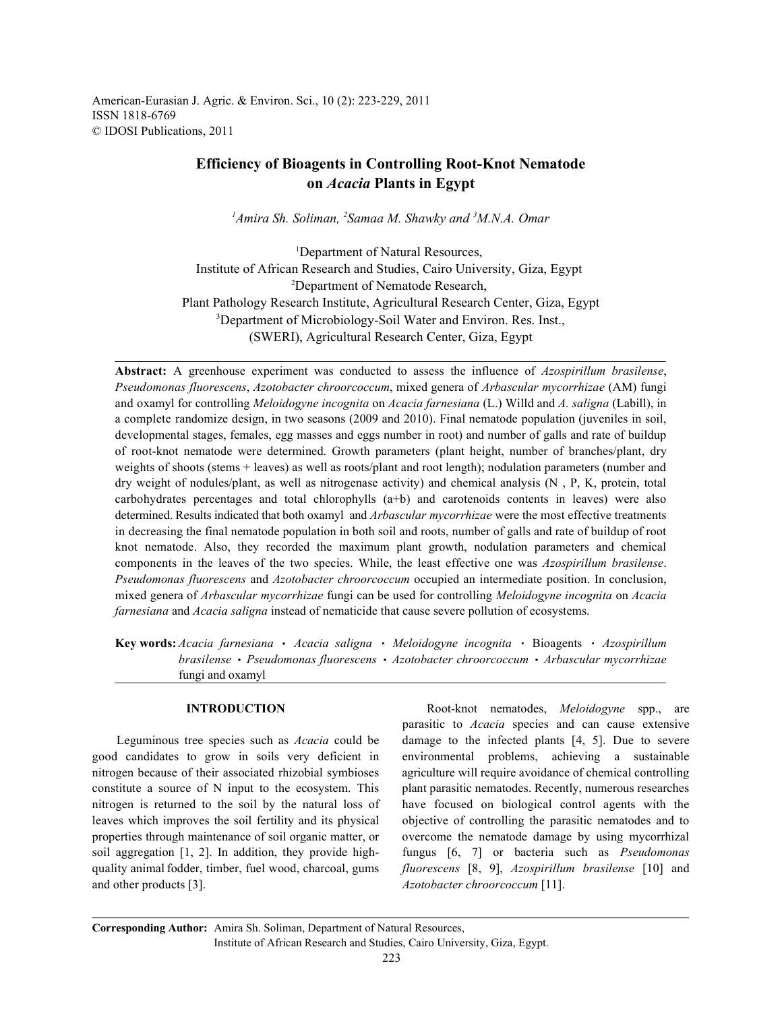American-Eurasian J. Agric. & Environ. Sci., 10 (2): 223-229, 2011 ISSN 1818-6769 © IDOSI Publications, 2011

# **Efficiency of Bioagents in Controlling Root-Knot Nematode on** *Acacia* **Plants in Egypt**

<sup>1</sup>Amira Sh. Soliman, <sup>2</sup>Samaa M. Shawky and <sup>3</sup>M.N.A. Omar

<sup>1</sup>Department of Natural Resources, Institute of African Research and Studies, Cairo University, Giza, Egypt <sup>2</sup>Department of Nematode Research, Plant Pathology Research Institute, Agricultural Research Center, Giza, Egypt <sup>3</sup>Department of Microbiology-Soil Water and Environ. Res. Inst., (SWERI), Agricultural Research Center, Giza, Egypt

**Abstract:** A greenhouse experiment was conducted to assess the influence of *Azospirillum brasilense*, *Pseudomonas fluorescens*, *Azotobacter chroorcoccum*, mixed genera of *Arbascular mycorrhizae* (AM) fungi and oxamyl for controlling *Meloidogyne incognita* on *Acacia farnesiana* (L.) Willd and *A. saligna* (Labill), in a complete randomize design, in two seasons (2009 and 2010). Final nematode population (juveniles in soil, developmental stages, females, egg masses and eggs number in root) and number of galls and rate of buildup of root-knot nematode were determined. Growth parameters (plant height, number of branches/plant, dry weights of shoots (stems + leaves) as well as roots/plant and root length); nodulation parameters (number and dry weight of nodules/plant, as well as nitrogenase activity) and chemical analysis (N , P, K, protein, total carbohydrates percentages and total chlorophylls (a+b) and carotenoids contents in leaves) were also determined. Results indicated that both oxamyl and *Arbascular mycorrhizae* were the most effective treatments in decreasing the final nematode population in both soil and roots, number of galls and rate of buildup of root knot nematode. Also, they recorded the maximum plant growth, nodulation parameters and chemical components in the leaves of the two species. While, the least effective one was *Azospirillum brasilense*. *Pseudomonas fluorescens* and *Azotobacter chroorcoccum* occupied an intermediate position. In conclusion, mixed genera of *Arbascular mycorrhizae* fungi can be used for controlling *Meloidogyne incognita* on *Acacia farnesiana* and *Acacia saligna* instead of nematicide that cause severe pollution of ecosystems.

Key words: Acacia farnesiana · Acacia saligna · Meloidogyne incognita · Bioagents · Azospirillum *brasilense Pseudomonas fluorescens Azotobacter chroorcoccum Arbascular mycorrhizae* fungi and oxamyl

good candidates to grow in soils very deficient in environmental problems, achieving a sustainable nitrogen because of their associated rhizobial symbioses agriculture will require avoidance of chemical controlling constitute a source of N input to the ecosystem. This plant parasitic nematodes. Recently, numerous researches nitrogen is returned to the soil by the natural loss of have focused on biological control agents with the leaves which improves the soil fertility and its physical objective of controlling the parasitic nematodes and to properties through maintenance of soil organic matter, or overcome the nematode damage by using mycorrhizal soil aggregation [1, 2]. In addition, they provide high- fungus [6, 7] or bacteria such as *Pseudomonas* quality animal fodder, timber, fuel wood, charcoal, gums *fluorescens* [8, 9], *Azospirillum brasilense* [10] and and other products [3]. *Azotobacter chroorcoccum* [11].

**INTRODUCTION** Root-knot nematodes, *Meloidogyne* spp., are Leguminous tree species such as *Acacia* could be damage to the infected plants [4, 5]. Due to severe parasitic to *Acacia* species and can cause extensive

**Corresponding Author:** Amira Sh. Soliman, Department of Natural Resources, Institute of African Research and Studies, Cairo University, Giza, Egypt.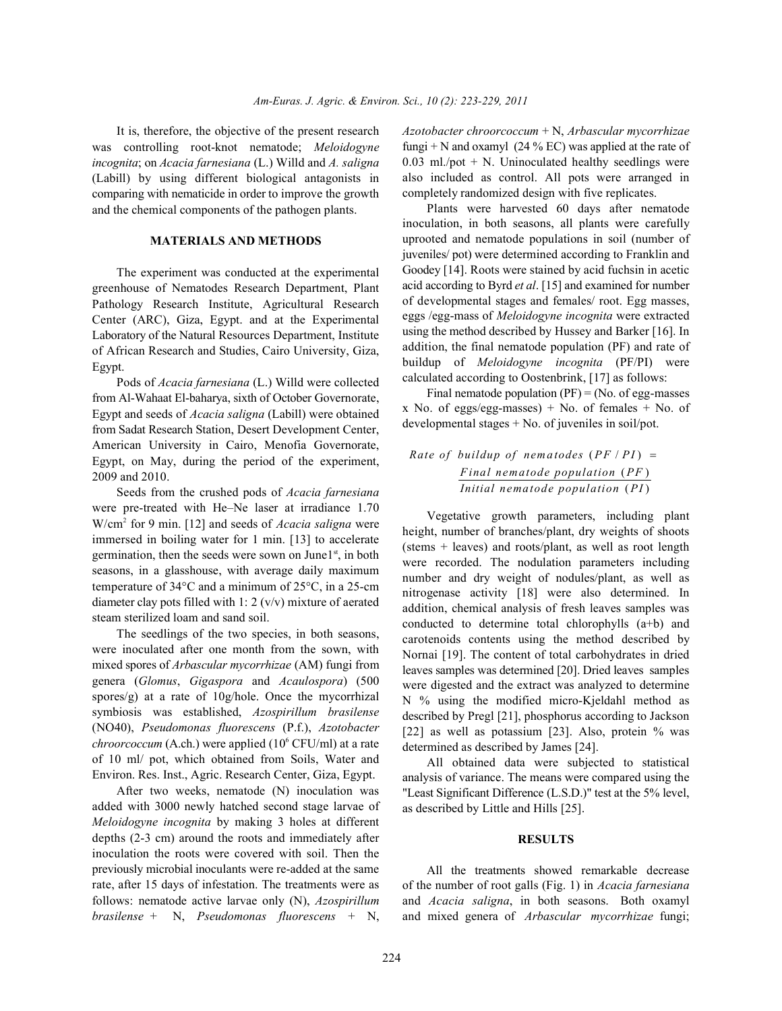was controlling root-knot nematode; *Meloidogyne incognita*; on *Acacia farnesiana* (L.) Willd and *A. saligna* (Labill) by using different biological antagonists in comparing with nematicide in order to improve the growth and the chemical components of the pathogen plants.

## **MATERIALS AND METHODS**

The experiment was conducted at the experimental greenhouse of Nematodes Research Department, Plant Pathology Research Institute, Agricultural Research Center (ARC), Giza, Egypt. and at the Experimental Laboratory of the Natural Resources Department, Institute of African Research and Studies, Cairo University, Giza, Egypt.

Pods of *Acacia farnesiana* (L.) Willd were collected from Al-Wahaat El-baharya, sixth of October Governorate, Egypt and seeds of *Acacia saligna* (Labill) were obtained from Sadat Research Station, Desert Development Center, American University in Cairo, Menofia Governorate, Egypt, on May, during the period of the experiment, 2009 and 2010.

Seeds from the crushed pods of *Acacia farnesiana* were pre-treated with He–Ne laser at irradiance 1.70 W/cm<sup>2</sup> for 9 min. [12] and seeds of *Acacia saligna* were immersed in boiling water for 1 min. [13] to accelerate germination, then the seeds were sown on June1 $\mathrm{^{st}}$ , in both seasons, in a glasshouse, with average daily maximum temperature of 34°C and a minimum of 25°C, in a 25-cm diameter clay pots filled with 1: 2 (v/v) mixture of aerated steam sterilized loam and sand soil.

The seedlings of the two species, in both seasons, were inoculated after one month from the sown, with mixed spores of *Arbascular mycorrhizae* (AM) fungi from genera (*Glomus*, *Gigaspora* and *Acaulospora*) (500 spores/g) at a rate of 10g/hole. Once the mycorrhizal symbiosis was established, *Azospirillum brasilense* (NO40), *Pseudomonas fluorescens* (P.f.), *Azotobacter chroorcoccum* (A.ch.) were applied (10<sup>6</sup> CFU/ml) at a rate of 10 ml/ pot, which obtained from Soils, Water and Environ. Res. Inst., Agric. Research Center, Giza, Egypt.

After two weeks, nematode (N) inoculation was added with 3000 newly hatched second stage larvae of *Meloidogyne incognita* by making 3 holes at different depths (2-3 cm) around the roots and immediately after inoculation the roots were covered with soil. Then the previously microbial inoculants were re-added at the same rate, after 15 days of infestation. The treatments were as follows: nematode active larvae only (N), *Azospirillum brasilense* + N, *Pseudomonas fluorescens* + N,

It is, therefore, the objective of the present research *Azotobacter chroorcoccum* + N, *Arbascular mycorrhizae* fungi + N and oxamyl  $(24 % EC)$  was applied at the rate of  $0.03$  ml./pot + N. Uninoculated healthy seedlings were also included as control. All pots were arranged in completely randomized design with five replicates.

> Plants were harvested 60 days after nematode inoculation, in both seasons, all plants were carefully uprooted and nematode populations in soil (number of juveniles/ pot) were determined according to Franklin and Goodey [14]. Roots were stained by acid fuchsin in acetic acid according to Byrd *et al*. [15] and examined for number of developmental stages and females/ root. Egg masses, eggs /egg-mass of *Meloidogyne incognita* were extracted using the method described by Hussey and Barker [16]. In addition, the final nematode population (PF) and rate of buildup of *Meloidogyne incognita* (PF/PI) were calculated according to Oostenbrink, [17] as follows:

> Final nematode population  $(PF) = (No. of egg-masses)$ x No. of eggs/egg-masses)  $+$  No. of females  $+$  No. of developmental stages + No. of juveniles in soil/pot.

## Rate of buildup of nematodes  $(PF / PI)$  =  $Final$  nematode population (PF) () *Initial nematode population PI*

Vegetative growth parameters, including plant height, number of branches/plant, dry weights of shoots (stems + leaves) and roots/plant, as well as root length were recorded. The nodulation parameters including number and dry weight of nodules/plant, as well as nitrogenase activity [18] were also determined. In addition, chemical analysis of fresh leaves samples was conducted to determine total chlorophylls (a+b) and carotenoids contents using the method described by Nornai [19]. The content of total carbohydrates in dried leaves samples was determined [20]. Dried leaves samples were digested and the extract was analyzed to determine N % using the modified micro-Kjeldahl method as described by Pregl [21], phosphorus according to Jackson [22] as well as potassium [23]. Also, protein % was determined as described by James [24].

All obtained data were subjected to statistical analysis of variance. The means were compared using the "Least Significant Difference (L.S.D.)" test at the 5% level, as described by Little and Hills [25].

### **RESULTS**

All the treatments showed remarkable decrease of the number of root galls (Fig. 1) in *Acacia farnesiana* and *Acacia saligna*, in both seasons. Both oxamyl and mixed genera of *Arbascular mycorrhizae* fungi;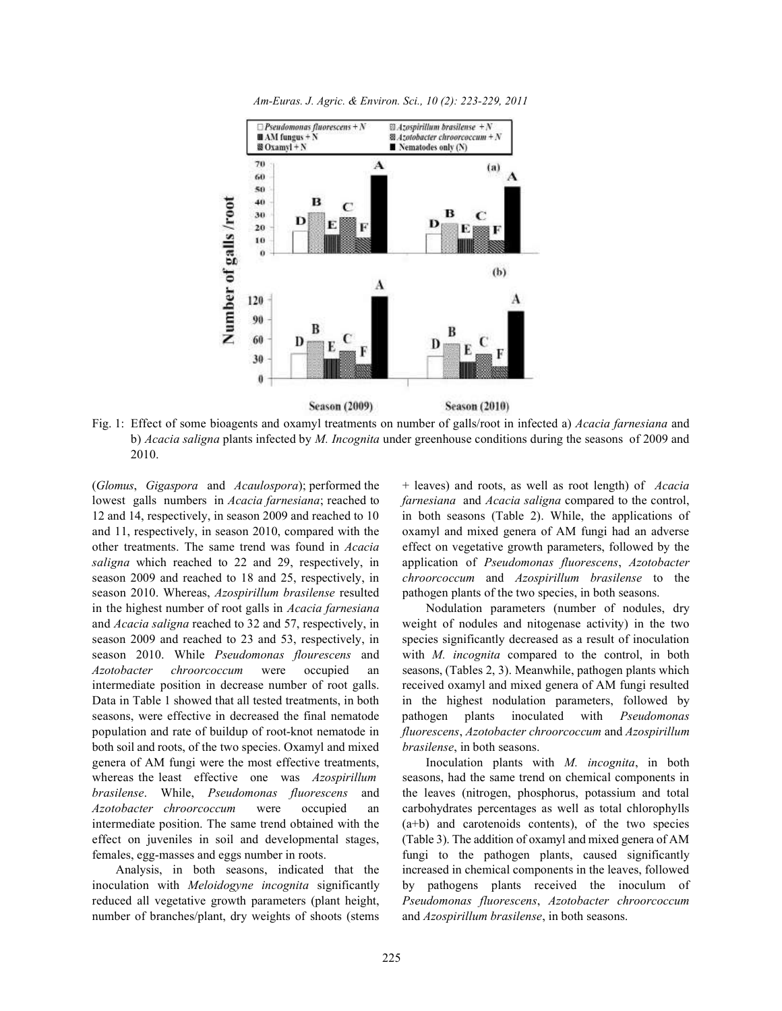

*Am-Euras. J. Agric. & Environ. Sci., 10 (2): 223-229, 2011*

Fig. 1: Effect of some bioagents and oxamyl treatments on number of galls/root in infected a) *Acacia farnesiana* and b) *Acacia saligna* plants infected by *M. Incognita* under greenhouse conditions during the seasons of 2009 and 2010.

(*Glomus*, *Gigaspora* and *Acaulospora*); performed the + leaves) and roots, as well as root length) of *Acacia* lowest galls numbers in *Acacia farnesiana*; reached to *farnesiana* and *Acacia saligna* compared to the control, 12 and 14, respectively, in season 2009 and reached to 10 in both seasons (Table 2). While, the applications of and 11, respectively, in season 2010, compared with the oxamyl and mixed genera of AM fungi had an adverse other treatments. The same trend was found in *Acacia* effect on vegetative growth parameters, followed by the *saligna* which reached to 22 and 29, respectively, in application of *Pseudomonas fluorescens*, *Azotobacter* season 2009 and reached to 18 and 25, respectively, in *chroorcoccum* and *Azospirillum brasilense* to the season 2010. Whereas, *Azospirillum brasilense* resulted pathogen plants of the two species, in both seasons. in the highest number of root galls in *Acacia farnesiana* Nodulation parameters (number of nodules, dry and *Acacia saligna* reached to 32 and 57, respectively, in weight of nodules and nitogenase activity) in the two season 2009 and reached to 23 and 53, respectively, in species significantly decreased as a result of inoculation season 2010. While *Pseudomonas flourescens* and with *M. incognita* compared to the control, in both *Azotobacter chroorcoccum* were occupied an seasons, (Tables 2, 3). Meanwhile, pathogen plants which intermediate position in decrease number of root galls. received oxamyl and mixed genera of AM fungi resulted Data in Table 1 showed that all tested treatments, in both in the highest nodulation parameters, followed by seasons, were effective in decreased the final nematode pathogen plants inoculated with *Pseudomonas* population and rate of buildup of root-knot nematode in *fluorescens*, *Azotobacter chroorcoccum* and *Azospirillum* both soil and roots, of the two species. Oxamyl and mixed *brasilense*, in both seasons. genera of AM fungi were the most effective treatments, Inoculation plants with *M. incognita*, in both whereas the least effective one was *Azospirillum* seasons, had the same trend on chemical components in *brasilense*. While, *Pseudomonas fluorescens* and the leaves (nitrogen, phosphorus, potassium and total *Azotobacter chroorcoccum* were occupied an carbohydrates percentages as well as total chlorophylls intermediate position. The same trend obtained with the  $(a+b)$  and carotenoids contents), of the two species effect on juveniles in soil and developmental stages, (Table 3). The addition of oxamyl and mixed genera of AM

reduced all vegetative growth parameters (plant height, *Pseudomonas fluorescens*, *Azotobacter chroorcoccum* number of branches/plant, dry weights of shoots (stems and *Azospirillum brasilense*, in both seasons.

females, egg-masses and eggs number in roots. fungi to the pathogen plants, caused significantly Analysis, in both seasons, indicated that the increased in chemical components in the leaves, followed inoculation with *Meloidogyne incognita* significantly by pathogens plants received the inoculum of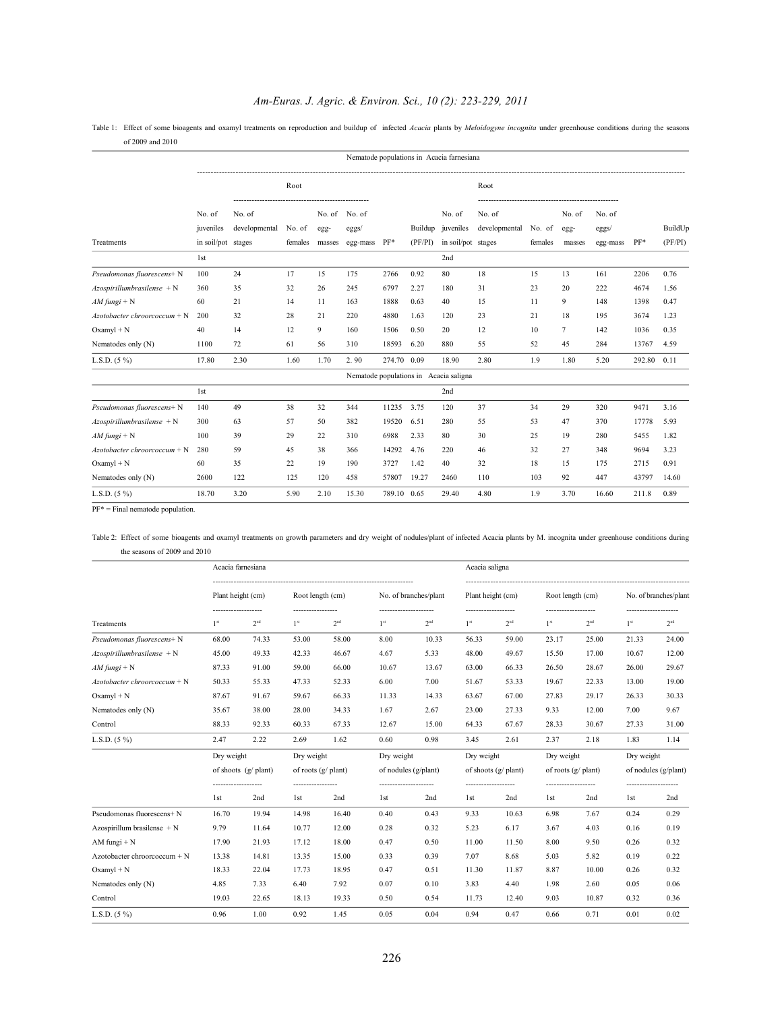## *Am-Euras. J. Agric. & Environ. Sci., 10 (2): 223-229, 2011*

Table 1: Effect of some bioagents and oxamyl treatments on reproduction and buildup of infected *Acacia* plants by *Meloidogyne incognita* under greenhouse conditions during the seasons of 2009 and 2010

|                                  | Nematode populations in Acacia farnesiana |               |         |        |                                        |             |         |                    |               |         |        |          |        |         |
|----------------------------------|-------------------------------------------|---------------|---------|--------|----------------------------------------|-------------|---------|--------------------|---------------|---------|--------|----------|--------|---------|
|                                  |                                           |               | Root    |        |                                        |             |         |                    | Root          |         |        |          |        |         |
|                                  | No. of                                    | No. of        |         | No. of | No. of                                 |             |         | No. of             | No. of        |         | No. of | No. of   |        |         |
|                                  | juveniles                                 | developmental | No. of  | egg-   | eggs/                                  |             | Buildup | juveniles          | developmental | No. of  | egg-   | eggs/    |        | BuildUp |
| Treatments                       | in soil/pot stages                        |               | females | masses | egg-mass                               | PF*         | (PF/PI) | in soil/pot stages |               | females | masses | egg-mass | PF*    | (PF/PI) |
|                                  | 1st                                       |               |         |        |                                        |             |         | 2nd                |               |         |        |          |        |         |
| Pseudomonas fluorescens+ N       | 100                                       | 24            | 17      | 15     | 175                                    | 2766        | 0.92    | 80                 | 18            | 15      | 13     | 161      | 2206   | 0.76    |
| $Azospirillumbrasilense + N$     | 360                                       | 35            | 32      | 26     | 245                                    | 6797        | 2.27    | 180                | 31            | 23      | 20     | 222      | 4674   | 1.56    |
| $AM$ fungi + N                   | 60                                        | 21            | 14      | 11     | 163                                    | 1888        | 0.63    | 40                 | 15            | 11      | 9      | 148      | 1398   | 0.47    |
| $Azotobacter \nchroorcoccum + N$ | 200                                       | 32            | 28      | 21     | 220                                    | 4880        | 1.63    | 120                | 23            | 21      | 18     | 195      | 3674   | 1.23    |
| $Oxamyl + N$                     | 40                                        | 14            | 12      | 9      | 160                                    | 1506        | 0.50    | 20                 | 12            | 10      | $\tau$ | 142      | 1036   | 0.35    |
| Nematodes only (N)               | 1100                                      | 72            | 61      | 56     | 310                                    | 18593       | 6.20    | 880                | 55            | 52      | 45     | 284      | 13767  | 4.59    |
| L.S.D. $(5\%)$                   | 17.80                                     | 2.30          | 1.60    | 1.70   | 2.90                                   | 274.70 0.09 |         | 18.90              | 2.80          | 1.9     | 1.80   | 5.20     | 292.80 | 0.11    |
|                                  |                                           |               |         |        | Nematode populations in Acacia saligna |             |         |                    |               |         |        |          |        |         |
|                                  | 1st                                       |               |         |        |                                        | 2nd         |         |                    |               |         |        |          |        |         |
| Pseudomonas fluorescens+ N       | 140                                       | 49            | 38      | 32     | 344                                    | 11235       | 3.75    | 120                | 37            | 34      | 29     | 320      | 9471   | 3.16    |
| $Azospirillumbrasilense + N$     | 300                                       | 63            | 57      | 50     | 382                                    | 19520       | 6.51    | 280                | 55            | 53      | 47     | 370      | 17778  | 5.93    |
| $AM$ fungi + N                   | 100                                       | 39            | 29      | 22     | 310                                    | 6988        | 2.33    | 80                 | 30            | 25      | 19     | 280      | 5455   | 1.82    |
| $Azotobacter \nchroorcoccum + N$ | 280                                       | 59            | 45      | 38     | 366                                    | 14292       | 4.76    | 220                | 46            | 32      | 27     | 348      | 9694   | 3.23    |
| $Oxamyl + N$                     | 60                                        | 35            | 22      | 19     | 190                                    | 3727        | 1.42    | 40                 | 32            | 18      | 15     | 175      | 2715   | 0.91    |
| Nematodes only (N)               | 2600                                      | 122           | 125     | 120    | 458                                    | 57807       | 19.27   | 2460               | 110           | 103     | 92     | 447      | 43797  | 14.60   |
| L.S.D. $(5\%)$                   | 18.70                                     | 3.20          | 5.90    | 2.10   | 15.30                                  | 789.10 0.65 |         | 29.40              | 4.80          | 1.9     | 3.70   | 16.60    | 211.8  | 0.89    |

 $PF* = Final$  nematode population.

Table 2: Effect of some bioagents and oxamyl treatments on growth parameters and dry weight of nodules/plant of infected Acacia plants by M. incognita under greenhouse conditions during the seasons of 2009 and 2010

|                                | Acacia farnesiana          |                 |                          |                 |                       |                 |                            | Acacia saligna  |                       |                 |                             |                 |  |  |
|--------------------------------|----------------------------|-----------------|--------------------------|-----------------|-----------------------|-----------------|----------------------------|-----------------|-----------------------|-----------------|-----------------------------|-----------------|--|--|
|                                | Plant height (cm)          |                 | Root length (cm)         |                 | No. of branches/plant |                 | Plant height (cm)          |                 | Root length (cm)      |                 | No. of branches/plant       |                 |  |  |
| Treatments                     | 1 <sup>st</sup>            | 2 <sup>nd</sup> | 1 <sup>st</sup>          | 2 <sup>nd</sup> | 1 <sup>st</sup>       | 2 <sup>nd</sup> | 1 <sup>st</sup>            | 2 <sup>nd</sup> | 1 <sup>st</sup>       | 2 <sup>nd</sup> | 1 <sup>st</sup>             | 2 <sup>nd</sup> |  |  |
| Pseudomonas fluorescens+ N     | 68.00                      | 74.33           | 53.00                    | 58.00           | 8.00                  | 10.33           | 56.33                      | 59.00           | 23.17                 | 25.00           | 21.33                       | 24.00           |  |  |
| $Azospirillumbrasilense + N$   | 45.00                      | 49.33           | 42.33                    | 46.67           | 4.67                  | 5.33            | 48.00                      | 49.67           | 15.50                 | 17.00           | 10.67                       | 12.00           |  |  |
| $AM$ fungi + N                 | 87.33                      | 91.00           | 59.00                    | 66.00           | 10.67                 | 13.67           | 63.00                      | 66.33           | 26.50                 | 28.67           | 26.00                       | 29.67           |  |  |
| $Azotobacter$ chroorcoccum + N | 50.33                      | 55.33           | 47.33                    | 52.33           | 6.00                  | 7.00            | 51.67                      | 53.33           | 19.67                 | 22.33           | 13.00                       | 19.00           |  |  |
| $Oxamvl + N$                   | 87.67                      | 91.67           | 59.67                    | 66.33           | 11.33                 | 14.33           | 63.67                      | 67.00           | 27.83                 | 29.17           | 26.33                       | 30.33           |  |  |
| Nematodes only (N)             | 35.67                      | 38.00           | 28.00                    | 34.33           | 1.67                  | 2.67            | 23.00                      | 27.33           | 9.33                  | 12.00           | 7.00                        | 9.67            |  |  |
| Control                        | 88.33                      | 92.33           | 60.33                    | 67.33           | 12.67                 | 15.00           | 64.33                      | 67.67           | 28.33                 | 30.67           | 27.33                       | 31.00           |  |  |
| L.S.D. $(5\%)$                 | 2.47                       | 2.22            | 2.69                     | 1.62            | 0.60                  | 0.98            | 3.45                       | 2.61            | 2.37                  | 2.18            | 1.83                        | 1.14            |  |  |
|                                | Dry weight                 |                 | Dry weight               |                 | Dry weight            |                 | Dry weight                 |                 | Dry weight            |                 | Dry weight                  |                 |  |  |
|                                | of shoots $(g/$ plant)     |                 | of roots $(g/$ plant)    |                 | of nodules (g/plant)  |                 | of shoots $(g/$ plant)     |                 | of roots $(g/$ plant) |                 | of nodules (g/plant)        |                 |  |  |
|                                | -------------------<br>1st | 2nd             | -----------------<br>1st | 2nd             | 1st                   | 2nd             | -------------------<br>1st | 2nd             | 1st                   | 2nd             | --------------------<br>1st | 2nd             |  |  |
| Pseudomonas fluorescens+ N     | 16.70                      | 19.94           | 14.98                    | 16.40           | 0.40                  | 0.43            | 9.33                       | 10.63           | 6.98                  | 7.67            | 0.24                        | 0.29            |  |  |
| Azospirillum brasilense $+N$   | 9.79                       | 11.64           | 10.77                    | 12.00           | 0.28                  | 0.32            | 5.23                       | 6.17            | 3.67                  | 4.03            | 0.16                        | 0.19            |  |  |
| AM fungi + $N$                 | 17.90                      | 21.93           | 17.12                    | 18.00           | 0.47                  | 0.50            | 11.00                      | 11.50           | 8.00                  | 9.50            | 0.26                        | 0.32            |  |  |
| Azotobacter chroorcoccum + N   | 13.38                      | 14.81           | 13.35                    | 15.00           | 0.33                  | 0.39            | 7.07                       | 8.68            | 5.03                  | 5.82            | 0.19                        | 0.22            |  |  |
| $Oxamvl + N$                   | 18.33                      | 22.04           | 17.73                    | 18.95           | 0.47                  | 0.51            | 11.30                      | 11.87           | 8.87                  | 10.00           | 0.26                        | 0.32            |  |  |
| Nematodes only (N)             | 4.85                       | 7.33            | 6.40                     | 7.92            | 0.07                  | 0.10            | 3.83                       | 4.40            | 1.98                  | 2.60            | 0.05                        | 0.06            |  |  |
| Control                        | 19.03                      | 22.65           | 18.13                    | 19.33           | 0.50                  | 0.54            | 11.73                      | 12.40           | 9.03                  | 10.87           | 0.32                        | 0.36            |  |  |
| L.S.D. $(5\%)$                 | 0.96                       | 1.00            | 0.92                     | 1.45            | 0.05                  | 0.04            | 0.94                       | 0.47            | 0.66                  | 0.71            | 0.01                        | 0.02            |  |  |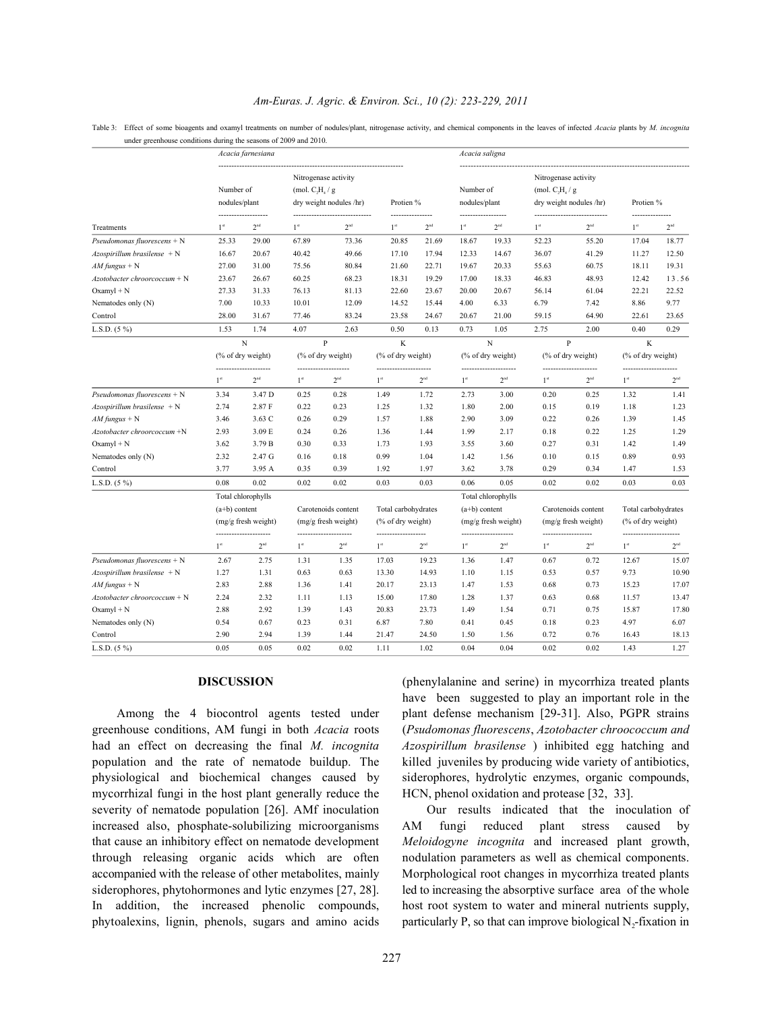#### *Am-Euras. J. Agric. & Environ. Sci., 10 (2): 223-229, 2011*

Table 3: Effect of some bioagents and oxamyl treatments on number of nodules/plant, nitrogenase activity, and chemical components in the leaves of infected *Acacia* plants by *M. incognita* under greenhouse conditions during the seasons of 2009 and 2010.

|                               | Acacia farnesiana                |                 |                                                                     |                                                    |                                     |                 |                                  | Acacia saligna     |                                                                     |                                                  |                                     |                 |  |
|-------------------------------|----------------------------------|-----------------|---------------------------------------------------------------------|----------------------------------------------------|-------------------------------------|-----------------|----------------------------------|--------------------|---------------------------------------------------------------------|--------------------------------------------------|-------------------------------------|-----------------|--|
|                               | Number of<br>nodules/plant       |                 | Nitrogenase activity<br>(mol. $C_2H_4/g$<br>dry weight nodules /hr) |                                                    | Protien %                           |                 | Number of<br>nodules/plant       |                    | Nitrogenase activity<br>(mol. $C_2H_4/g$<br>dry weight nodules /hr) |                                                  | Protien %                           |                 |  |
| Treatments                    | -------------<br>1 <sup>st</sup> | 2 <sup>nd</sup> | 1 <sup>st</sup>                                                     | -------------------------------<br>2 <sup>nd</sup> | ----------------<br>1 <sup>st</sup> | 2 <sup>nd</sup> | -------------<br>1 <sup>st</sup> | 2 <sup>nd</sup>    | 1 <sup>st</sup>                                                     | -----------------------------<br>2 <sup>nd</sup> | 1 <sup>st</sup>                     | $2^{\rm nd}$    |  |
| Pseudomonas fluorescens + N   | 25.33                            | 29.00           | 67.89                                                               | 73.36                                              | 20.85                               | 21.69           | 18.67                            | 19.33              | 52.23                                                               | 55.20                                            | 17.04                               | 18.77           |  |
| $Azospirillum brasilense + N$ | 16.67                            | 20.67           | 40.42                                                               | 49.66                                              | 17.10                               | 17.94           | 12.33                            | 14.67              | 36.07                                                               | 41.29                                            | 11.27                               | 12.50           |  |
| $AM$ fungus + $N$             | 27.00                            | 31.00           | 75.56                                                               | 80.84                                              | 21.60                               | 22.71           | 19.67                            | 20.33              | 55.63                                                               | 60.75                                            | 18.11                               | 19.31           |  |
| Azotobacter chroorcoccum + N  | 23.67                            | 26.67           | 60.25                                                               | 68.23                                              | 18.31                               | 19.29           | 17.00                            | 18.33              | 46.83                                                               | 48.93                                            | 12.42                               | 13.56           |  |
| $Oxamvl + N$                  | 27.33                            | 31.33           | 76.13                                                               | 81.13                                              | 22.60                               | 23.67           | 20.00                            | 20.67              | 56.14                                                               | 61.04                                            | 22.21                               | 22.52           |  |
| Nematodes only (N)            | 7.00                             | 10.33           | 10.01                                                               | 12.09                                              | 14.52                               | 15.44           | 4.00                             | 6.33               | 6.79                                                                | 7.42                                             | 8.86                                | 9.77            |  |
| Control                       | 28.00                            | 31.67           | 77.46                                                               | 83.24                                              | 23.58                               | 24.67           | 20.67                            | 21.00              | 59.15                                                               | 64.90                                            | 22.61                               | 23.65           |  |
| L.S.D. $(5\%)$                | 1.53                             | 1.74            | 4.07                                                                | 2.63                                               | 0.50                                | 0.13            | 0.73                             | 1.05               | 2.75                                                                | 2.00                                             | 0.40                                | 0.29            |  |
|                               | $\mathbf N$                      |                 | P                                                                   |                                                    | $\rm K$                             |                 | N                                |                    | $\mathbf{P}$                                                        |                                                  | K                                   |                 |  |
|                               | (% of dry weight)                |                 | (% of dry weight)                                                   |                                                    | (% of dry weight)                   |                 | (% of dry weight)                |                    | (% of dry weight)                                                   |                                                  | (% of dry weight)                   |                 |  |
|                               | 1 <sup>st</sup>                  | 2 <sup>nd</sup> | 1 <sup>st</sup>                                                     | 2 <sup>nd</sup>                                    | 1 <sup>st</sup>                     | 2 <sup>nd</sup> | 1 <sup>st</sup>                  | 2 <sup>nd</sup>    | 1 <sup>st</sup>                                                     | 2 <sup>nd</sup>                                  | 1 <sup>st</sup>                     | 2 <sup>nd</sup> |  |
| Pseudomonas fluorescens + N   | 3.34                             | 3.47 D          | 0.25                                                                | 0.28                                               | 1.49                                | 1.72            | 2.73                             | 3.00               | 0.20                                                                | 0.25                                             | 1.32                                | 1.41            |  |
| $Azospirillum brasilense + N$ | 2.74                             | 2.87F           | 0.22                                                                | 0.23                                               | 1.25                                | 1.32            | 1.80                             | 2.00               | 0.15                                                                | 0.19                                             | 1.18                                | 1.23            |  |
| $AM$ fungus + $N$             | 3.46                             | 3.63 C          | 0.26                                                                | 0.29                                               | 1.57                                | 1.88            | 2.90                             | 3.09               | 0.22                                                                | 0.26                                             | 1.39                                | 1.45            |  |
| Azotobacter chroorcoccum +N   | 2.93                             | 3.09 E          | 0.24                                                                | 0.26                                               | 1.36                                | 1.44            | 1.99                             | 2.17               | 0.18                                                                | 0.22                                             | 1.25                                | 1.29            |  |
| $Oxamyl + N$                  | 3.62                             | 3.79 B          | 0.30                                                                | 0.33                                               | 1.73                                | 1.93            | 3.55                             | 3.60               | 0.27                                                                | 0.31                                             | 1.42                                | 1.49            |  |
| Nematodes only (N)            | 2.32                             | 2.47 G          | 0.16                                                                | 0.18                                               | 0.99                                | 1.04            | 1.42                             | 1.56               | 0.10                                                                | 0.15                                             | 0.89                                | 0.93            |  |
| Control                       | 3.77                             | 3.95 A          | 0.35                                                                | 0.39                                               | 1.92                                | 1.97            | 3.62                             | 3.78               | 0.29                                                                | 0.34                                             | 1.47                                | 1.53            |  |
| L.S.D. $(5\%)$                | 0.08                             | 0.02            | 0.02                                                                | 0.02                                               | 0.03                                | 0.03            | 0.06                             | 0.05               | 0.02                                                                | 0.02                                             | 0.03                                | 0.03            |  |
|                               | Total chlorophylls               |                 |                                                                     |                                                    |                                     |                 |                                  | Total chlorophylls |                                                                     |                                                  |                                     |                 |  |
|                               | $(a+b)$ content                  |                 | Carotenoids content                                                 |                                                    | Total carbohydrates                 |                 | $(a+b)$ content                  |                    | Carotenoids content                                                 |                                                  | Total carbohydrates                 |                 |  |
|                               | (mg/g fresh weight)              |                 | (mg/g fresh weight)                                                 |                                                    | (% of dry weight)                   |                 | (mg/g fresh weight)              |                    | (mg/g fresh weight)                                                 |                                                  | (% of dry weight)                   |                 |  |
|                               | 1 <sup>st</sup>                  | 2 <sup>nd</sup> | 1 <sup>st</sup>                                                     | 2 <sup>nd</sup>                                    | 1 <sup>st</sup>                     | 2 <sup>nd</sup> | 1 <sup>st</sup>                  | 2 <sup>nd</sup>    | -------------------<br>1 <sup>st</sup>                              | 2 <sup>nd</sup>                                  | ----------------<br>1 <sup>st</sup> | 2 <sup>nd</sup> |  |
| Pseudomonas fluorescens + N   | 2.67                             | 2.75            | 1.31                                                                | 1.35                                               | 17.03                               | 19.23           | 1.36                             | 1.47               | 0.67                                                                | 0.72                                             | 12.67                               | 15.07           |  |
| $Azospirillum brasilense + N$ | 1.27                             | 1.31            | 0.63                                                                | 0.63                                               | 13.30                               | 14.93           | 1.10                             | 1.15               | 0.53                                                                | 0.57                                             | 9.73                                | 10.90           |  |
| $AM$ fungus + $N$             | 2.83                             | 2.88            | 1.36                                                                | 1.41                                               | 20.17                               | 23.13           | 1.47                             | 1.53               | 0.68                                                                | 0.73                                             | 15.23                               | 17.07           |  |
| Azotobacter chroorcoccum + N  | 2.24                             | 2.32            | 1.11                                                                | 1.13                                               | 15.00                               | 17.80           | 1.28                             | 1.37               | 0.63                                                                | 0.68                                             | 11.57                               | 13.47           |  |
| $Oxamyl + N$                  | 2.88                             | 2.92            | 1.39                                                                | 1.43                                               | 20.83                               | 23.73           | 1.49                             | 1.54               | 0.71                                                                | 0.75                                             | 15.87                               | 17.80           |  |
| Nematodes only (N)            | 0.54                             | 0.67            | 0.23                                                                | 0.31                                               | 6.87                                | 7.80            | 0.41                             | 0.45               | 0.18                                                                | 0.23                                             | 4.97                                | 6.07            |  |
| Control                       | 2.90                             | 2.94            | 1.39                                                                | 1.44                                               | 21.47                               | 24.50           | 1.50                             | 1.56               | 0.72                                                                | 0.76                                             | 16.43                               | 18.13           |  |
| L.S.D. $(5\%)$                | 0.05                             | 0.05            | 0.02                                                                | 0.02                                               | 1.11                                | 1.02            | 0.04                             | 0.04               | 0.02                                                                | 0.02                                             | 1.43                                | 1.27            |  |

greenhouse conditions, AM fungi in both *Acacia* roots (*Psudomonas fluorescens*, *Azotobacter chroococcum and* had an effect on decreasing the final *M. incognita Azospirillum brasilense* ) inhibited egg hatching and population and the rate of nematode buildup. The killed juveniles by producing wide variety of antibiotics, physiological and biochemical changes caused by siderophores, hydrolytic enzymes, organic compounds, mycorrhizal fungi in the host plant generally reduce the HCN, phenol oxidation and protease [32, 33]. severity of nematode population [26]. AMf inoculation Our results indicated that the inoculation of increased also, phosphate-solubilizing microorganisms AM fungi reduced plant stress caused by that cause an inhibitory effect on nematode development *Meloidogyne incognita* and increased plant growth, through releasing organic acids which are often nodulation parameters as well as chemical components. accompanied with the release of other metabolites, mainly Morphological root changes in mycorrhiza treated plants siderophores, phytohormones and lytic enzymes [27, 28]. led to increasing the absorptive surface area of the whole In addition, the increased phenolic compounds, host root system to water and mineral nutrients supply, phytoalexins, lignin, phenols, sugars and amino acids

**DISCUSSION** (phenylalanine and serine) in mycorrhiza treated plants Among the 4 biocontrol agents tested under plant defense mechanism [29-31]. Also, PGPR strains have been suggested to play an important role in the

particularly P, so that can improve biological  $N_2$ -fixation in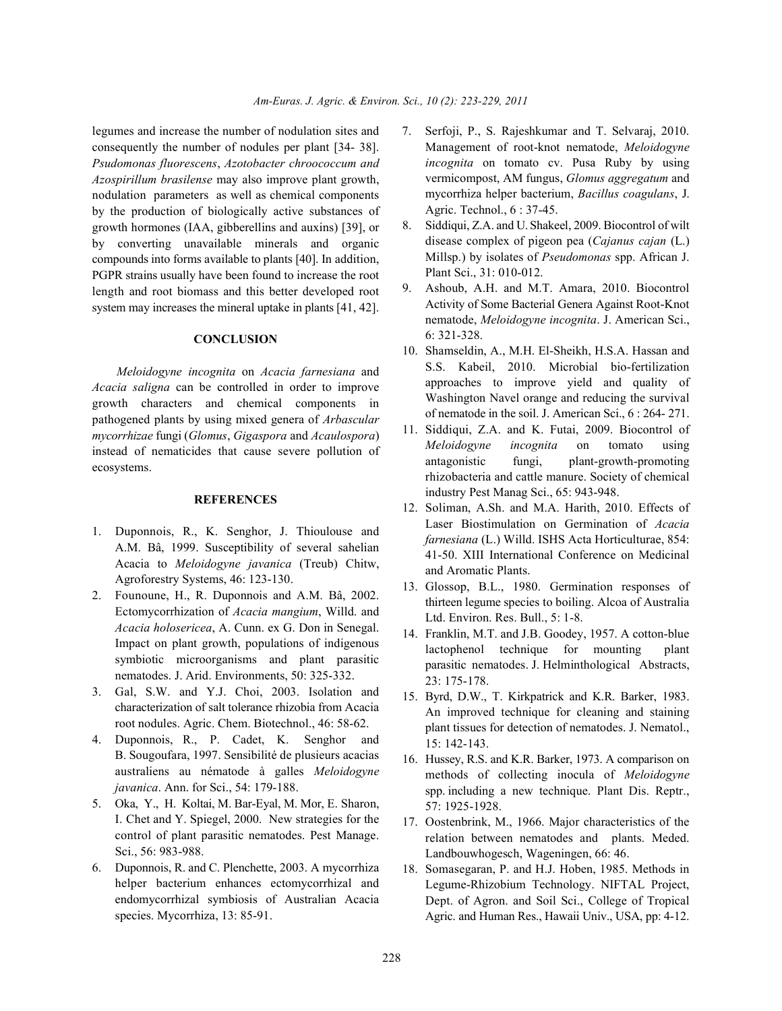legumes and increase the number of nodulation sites and 7. Serfoji, P., S. Rajeshkumar and T. Selvaraj, 2010. consequently the number of nodules per plant [34- 38]. *Psudomonas fluorescens*, *Azotobacter chroococcum and Azospirillum brasilense* may also improve plant growth, nodulation parameters as well as chemical components by the production of biologically active substances of growth hormones (IAA, gibberellins and auxins) [39], or by converting unavailable minerals and organic compounds into forms available to plants [40]. In addition, PGPR strains usually have been found to increase the root length and root biomass and this better developed root system may increases the mineral uptake in plants [41, 42].

### **CONCLUSION**

*Meloidogyne incognita* on *Acacia farnesiana* and *Acacia saligna* can be controlled in order to improve growth characters and chemical components in pathogened plants by using mixed genera of *Arbascular mycorrhizae* fungi (*Glomus*, *Gigaspora* and *Acaulospora*) instead of nematicides that cause severe pollution of ecosystems.

## **REFERENCES**

- 1. Duponnois, R., K. Senghor, J. Thioulouse and A.M. Bâ, 1999. Susceptibility of several sahelian Acacia to *Meloidogyne javanica* (Treub) Chitw, Agroforestry Systems, 46: 123-130.
- 2. Founoune, H., R. Duponnois and A.M. Bâ, 2002. Ectomycorrhization of *Acacia mangium*, Willd. and *Acacia holosericea*, A. Cunn. ex G. Don in Senegal. Impact on plant growth, populations of indigenous symbiotic microorganisms and plant parasitic nematodes. J. Arid. Environments, 50: 325-332.
- 3. Gal, S.W. and Y.J. Choi, 2003. Isolation and characterization of salt tolerance rhizobia from Acacia root nodules. Agric. Chem. Biotechnol., 46: 58-62.
- 4. Duponnois, R., P. Cadet, K. Senghor and B. Sougoufara, 1997. Sensibilité de plusieurs acacias australiens au nématode à galles *Meloidogyne javanica*. Ann. for Sci., 54: 179-188.
- 5. Oka, Y., H. Koltai, M. Bar-Eyal, M. Mor, E. Sharon, I. Chet and Y. Spiegel, 2000. New strategies for the control of plant parasitic nematodes. Pest Manage. Sci., 56: 983-988.
- 6. Duponnois, R. and C. Plenchette, 2003. A mycorrhiza helper bacterium enhances ectomycorrhizal and endomycorrhizal symbiosis of Australian Acacia species. Mycorrhiza, 13: 85-91.
- Management of root-knot nematode, *Meloidogyne incognita* on tomato cv. Pusa Ruby by using vermicompost, AM fungus, *Glomus aggregatum* and mycorrhiza helper bacterium, *Bacillus coagulans*, J. Agric. Technol., 6 : 37-45.
- 8. Siddiqui, Z.A. and U. Shakeel, 2009. Biocontrol of wilt disease complex of pigeon pea (*Cajanus cajan* (L.) Millsp.) by isolates of *Pseudomonas* spp. African J. Plant Sci., 31: 010-012.
- 9. Ashoub, A.H. and M.T. Amara, 2010. Biocontrol Activity of Some Bacterial Genera Against Root-Knot nematode, *Meloidogyne incognita*. J. American Sci., 6: 321-328.
- 10. Shamseldin, A., M.H. El-Sheikh, H.S.A. Hassan and S.S. Kabeil, 2010. Microbial bio-fertilization approaches to improve yield and quality of Washington Navel orange and reducing the survival of nematode in the soil. J. American Sci., 6 : 264- 271.
- 11. Siddiqui, Z.A. and K. Futai, 2009. Biocontrol of *Meloidogyne incognita* on tomato using antagonistic fungi, plant-growth-promoting rhizobacteria and cattle manure. Society of chemical industry Pest Manag Sci., 65: 943-948.
- 12. Soliman, A.Sh. and M.A. Harith, 2010. Effects of Laser Biostimulation on Germination of *Acacia farnesiana* (L.) Willd. ISHS Acta Horticulturae, 854: 41-50. XIII International Conference on Medicinal and Aromatic Plants.
- 13. Glossop, B.L., 1980. Germination responses of thirteen legume species to boiling. Alcoa of Australia Ltd. Environ. Res. Bull., 5: 1-8.
- 14. Franklin, M.T. and J.B. Goodey, 1957. A cotton-blue lactophenol technique for mounting plant parasitic nematodes. J. Helminthological Abstracts, 23: 175-178.
- 15. Byrd, D.W., T. Kirkpatrick and K.R. Barker, 1983. An improved technique for cleaning and staining plant tissues for detection of nematodes. J. Nematol., 15: 142-143.
- 16. Hussey, R.S. and K.R. Barker, 1973. A comparison on methods of collecting inocula of *Meloidogyne* spp. including a new technique. Plant Dis. Reptr., 57: 1925-1928.
- 17. Oostenbrink, M., 1966. Major characteristics of the relation between nematodes and plants. Meded. Landbouwhogesch, Wageningen, 66: 46.
- 18. Somasegaran, P. and H.J. Hoben, 1985. Methods in Legume-Rhizobium Technology. NIFTAL Project, Dept. of Agron. and Soil Sci., College of Tropical Agric. and Human Res., Hawaii Univ., USA, pp: 4-12.